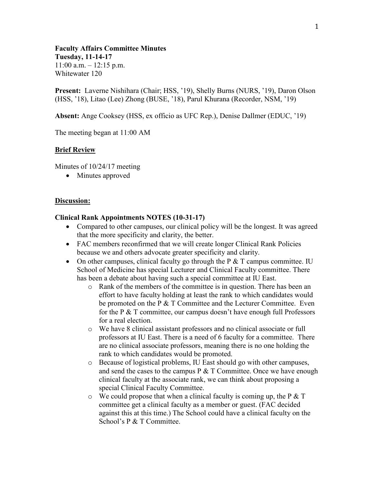**Faculty Affairs Committee Minutes Tuesday, 11-14-17**  $11:00$  a.m.  $-12:15$  p.m. Whitewater 120

**Present:** Laverne Nishihara (Chair; HSS, '19), Shelly Burns (NURS, '19), Daron Olson (HSS, '18), Litao (Lee) Zhong (BUSE, '18), Parul Khurana (Recorder, NSM, '19)

**Absent:** Ange Cooksey (HSS, ex officio as UFC Rep.), Denise Dallmer (EDUC, '19)

The meeting began at 11:00 AM

## **Brief Review**

Minutes of 10/24/17 meeting

• Minutes approved

## **Discussion:**

#### **Clinical Rank Appointments NOTES (10-31-17)**

- Compared to other campuses, our clinical policy will be the longest. It was agreed that the more specificity and clarity, the better.
- FAC members reconfirmed that we will create longer Clinical Rank Policies because we and others advocate greater specificity and clarity.
- On other campuses, clinical faculty go through the  $P \& T$  campus committee. IU School of Medicine has special Lecturer and Clinical Faculty committee. There has been a debate about having such a special committee at IU East.
	- o Rank of the members of the committee is in question. There has been an effort to have faculty holding at least the rank to which candidates would be promoted on the P & T Committee and the Lecturer Committee. Even for the P & T committee, our campus doesn't have enough full Professors for a real election.
	- o We have 8 clinical assistant professors and no clinical associate or full professors at IU East. There is a need of 6 faculty for a committee. There are no clinical associate professors, meaning there is no one holding the rank to which candidates would be promoted.
	- o Because of logistical problems, IU East should go with other campuses, and send the cases to the campus  $P \& T$  Committee. Once we have enough clinical faculty at the associate rank, we can think about proposing a special Clinical Faculty Committee.
	- $\circ$  We could propose that when a clinical faculty is coming up, the P & T committee get a clinical faculty as a member or guest. (FAC decided against this at this time.) The School could have a clinical faculty on the School's P & T Committee.